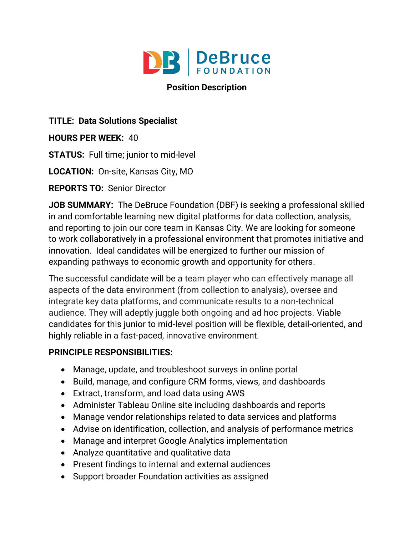

### **Position Description**

## **TITLE: Data Solutions Specialist**

**HOURS PER WEEK:** 40

**STATUS:** Full time; junior to mid-level

**LOCATION:** On-site, Kansas City, MO

**REPORTS TO:** Senior Director

**JOB SUMMARY:** The DeBruce Foundation (DBF) is seeking a professional skilled in and comfortable learning new digital platforms for data collection, analysis, and reporting to join our core team in Kansas City. We are looking for someone to work collaboratively in a professional environment that promotes initiative and innovation. Ideal candidates will be energized to further our mission of expanding pathways to economic growth and opportunity for others.

The successful candidate will be a team player who can effectively manage all aspects of the data environment (from collection to analysis), oversee and integrate key data platforms, and communicate results to a non-technical audience. They will adeptly juggle both ongoing and ad hoc projects. Viable candidates for this junior to mid-level position will be flexible, detail-oriented, and highly reliable in a fast-paced, innovative environment.

# **PRINCIPLE RESPONSIBILITIES:**

- Manage, update, and troubleshoot surveys in online portal
- Build, manage, and configure CRM forms, views, and dashboards
- Extract, transform, and load data using AWS
- Administer Tableau Online site including dashboards and reports
- Manage vendor relationships related to data services and platforms
- Advise on identification, collection, and analysis of performance metrics
- Manage and interpret Google Analytics implementation
- Analyze quantitative and qualitative data
- Present findings to internal and external audiences
- Support broader Foundation activities as assigned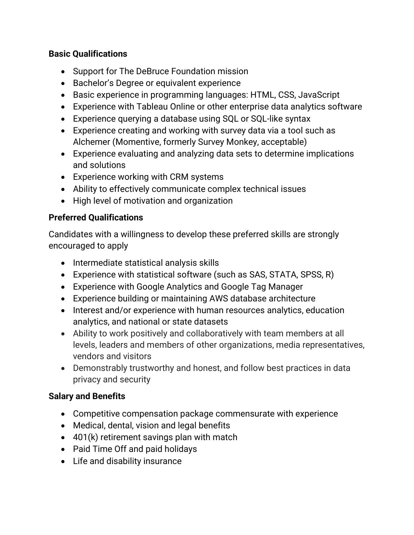#### **Basic Qualifications**

- Support for The DeBruce Foundation mission
- Bachelor's Degree or equivalent experience
- Basic experience in programming languages: HTML, CSS, JavaScript
- Experience with Tableau Online or other enterprise data analytics software
- Experience querying a database using SQL or SQL-like syntax
- Experience creating and working with survey data via a tool such as Alchemer (Momentive, formerly Survey Monkey, acceptable)
- Experience evaluating and analyzing data sets to determine implications and solutions
- Experience working with CRM systems
- Ability to effectively communicate complex technical issues
- High level of motivation and organization

## **Preferred Qualifications**

Candidates with a willingness to develop these preferred skills are strongly encouraged to apply

- Intermediate statistical analysis skills
- Experience with statistical software (such as SAS, STATA, SPSS, R)
- Experience with Google Analytics and Google Tag Manager
- Experience building or maintaining AWS database architecture
- Interest and/or experience with human resources analytics, education analytics, and national or state datasets
- Ability to work positively and collaboratively with team members at all levels, leaders and members of other organizations, media representatives, vendors and visitors
- Demonstrably trustworthy and honest, and follow best practices in data privacy and security

### **Salary and Benefits**

- Competitive compensation package commensurate with experience
- Medical, dental, vision and legal benefits
- 401(k) retirement savings plan with match
- Paid Time Off and paid holidays
- Life and disability insurance